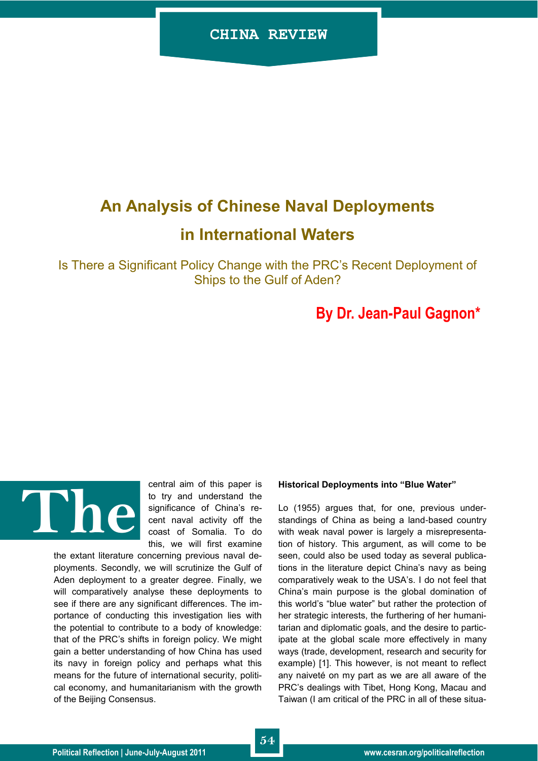# **An Analysis of Chinese Naval Deployments**

# **in International Waters**

Is There a Significant Policy Change with the PRC"s Recent Deployment of Ships to the Gulf of Aden?

## **By Dr. Jean-Paul Gagnon\***



central aim of this paper is to try and understand the significance of China's recent naval activity off the coast of Somalia. To do this, we will first examine

the extant literature concerning previous naval deployments. Secondly, we will scrutinize the Gulf of Aden deployment to a greater degree. Finally, we will comparatively analyse these deployments to see if there are any significant differences. The importance of conducting this investigation lies with the potential to contribute to a body of knowledge: that of the PRC"s shifts in foreign policy. We might gain a better understanding of how China has used its navy in foreign policy and perhaps what this means for the future of international security, political economy, and humanitarianism with the growth of the Beijing Consensus.

#### **Historical Deployments into "Blue Water"**

Lo (1955) argues that, for one, previous understandings of China as being a land-based country with weak naval power is largely a misrepresentation of history. This argument, as will come to be seen, could also be used today as several publications in the literature depict China"s navy as being comparatively weak to the USA"s. I do not feel that China"s main purpose is the global domination of this world"s "blue water" but rather the protection of her strategic interests, the furthering of her humanitarian and diplomatic goals, and the desire to participate at the global scale more effectively in many ways (trade, development, research and security for example) [1]. This however, is not meant to reflect any naiveté on my part as we are all aware of the PRC"s dealings with Tibet, Hong Kong, Macau and Taiwan (I am critical of the PRC in all of these situa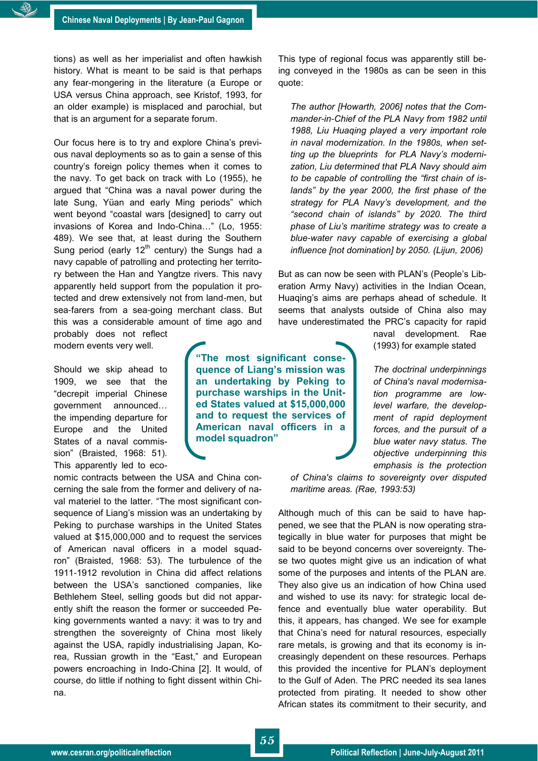tions) as well as her imperialist and often hawkish history. What is meant to be said is that perhaps any fear-mongering in the literature (a Europe or USA versus China approach, see Kristof, 1993, for an older example) is misplaced and parochial, but that is an argument for a separate forum.

Our focus here is to try and explore China"s previous naval deployments so as to gain a sense of this country"s foreign policy themes when it comes to the navy. To get back on track with Lo (1955), he argued that "China was a naval power during the late Sung, Yüan and early Ming periods" which went beyond "coastal wars [designed] to carry out invasions of Korea and Indo-China…" (Lo, 1955: 489). We see that, at least during the Southern Sung period (early  $12<sup>th</sup>$  century) the Sungs had a navy capable of patrolling and protecting her territory between the Han and Yangtze rivers. This navy apparently held support from the population it protected and drew extensively not from land-men, but sea-farers from a sea-going merchant class. But this was a considerable amount of time ago and

probably does not reflect modern events very well.

Should we skip ahead to 1909, we see that the "decrepit imperial Chinese government announced… the impending departure for Europe and the United States of a naval commission" (Braisted, 1968: 51). This apparently led to eco-

nomic contracts between the USA and China concerning the sale from the former and delivery of naval materiel to the latter. "The most significant consequence of Liang's mission was an undertaking by Peking to purchase warships in the United States valued at \$15,000,000 and to request the services of American naval officers in a model squadron" (Braisted, 1968: 53). The turbulence of the 1911-1912 revolution in China did affect relations between the USA"s sanctioned companies, like Bethlehem Steel, selling goods but did not apparently shift the reason the former or succeeded Peking governments wanted a navy: it was to try and strengthen the sovereignty of China most likely against the USA, rapidly industrialising Japan, Korea, Russian growth in the "East," and European powers encroaching in Indo-China [2]. It would, of course, do little if nothing to fight dissent within China.

This type of regional focus was apparently still being conveyed in the 1980s as can be seen in this quote:

*The author [Howarth, 2006] notes that the Commander-in-Chief of the PLA Navy from 1982 until 1988, Liu Huaqing played a very important role in naval modernization. In the 1980s, when setting up the blueprints for PLA Navy"s modernization, Liu determined that PLA Navy should aim to be capable of controlling the "first chain of islands" by the year 2000, the first phase of the strategy for PLA Navy"s development, and the "second chain of islands" by 2020. The third phase of Liu"s maritime strategy was to create a blue-water navy capable of exercising a global influence [not domination] by 2050. (Lijun, 2006)*

But as can now be seen with PLAN's (People's Liberation Army Navy) activities in the Indian Ocean, Huaqing"s aims are perhaps ahead of schedule. It seems that analysts outside of China also may have underestimated the PRC"s capacity for rapid

> naval development. Rae (1993) for example stated

*The doctrinal underpinnings of China's naval modernisation programme are lowlevel warfare, the development of rapid deployment forces, and the pursuit of a blue water navy status. The objective underpinning this emphasis is the protection* 

*of China's claims to sovereignty over disputed maritime areas. (Rae, 1993:53)*

Although much of this can be said to have happened, we see that the PLAN is now operating strategically in blue water for purposes that might be said to be beyond concerns over sovereignty. These two quotes might give us an indication of what some of the purposes and intents of the PLAN are. They also give us an indication of how China used and wished to use its navy: for strategic local defence and eventually blue water operability. But this, it appears, has changed. We see for example that China"s need for natural resources, especially rare metals, is growing and that its economy is increasingly dependent on these resources. Perhaps this provided the incentive for PLAN"s deployment to the Gulf of Aden. The PRC needed its sea lanes protected from pirating. It needed to show other African states its commitment to their security, and

**"The most significant consequence of Liang"s mission was an undertaking by Peking to purchase warships in the United States valued at \$15,000,000 and to request the services of American naval officers in a** 

**model squadron"**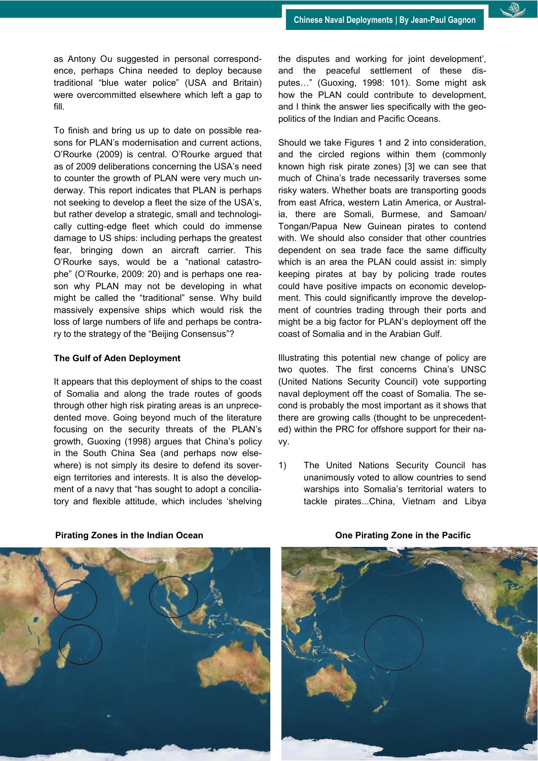

To finish and bring us up to date on possible reasons for PLAN"s modernisation and current actions, O"Rourke (2009) is central. O"Rourke argued that as of 2009 deliberations concerning the USA's need to counter the growth of PLAN were very much underway. This report indicates that PLAN is perhaps not seeking to develop a fleet the size of the USA's, but rather develop a strategic, small and technologically cutting-edge fleet which could do immense damage to US ships: including perhaps the greatest fear, bringing down an aircraft carrier. This O"Rourke says, would be a "national catastrophe" (O"Rourke, 2009: 20) and is perhaps one reason why PLAN may not be developing in what might be called the "traditional" sense. Why build massively expensive ships which would risk the loss of large numbers of life and perhaps be contrary to the strategy of the "Beijing Consensus"?

### **The Gulf of Aden Deployment**

It appears that this deployment of ships to the coast of Somalia and along the trade routes of goods through other high risk pirating areas is an unprecedented move. Going beyond much of the literature focusing on the security threats of the PLAN"s growth, Guoxing (1998) argues that China"s policy in the South China Sea (and perhaps now elsewhere) is not simply its desire to defend its sovereign territories and interests. It is also the development of a navy that "has sought to adopt a conciliatory and flexible attitude, which includes "shelving the disputes and working for joint development', and the peaceful settlement of these disputes…" (Guoxing, 1998: 101). Some might ask how the PLAN could contribute to development, and I think the answer lies specifically with the geopolitics of the Indian and Pacific Oceans.

Should we take Figures 1 and 2 into consideration, and the circled regions within them (commonly known high risk pirate zones) [3] we can see that much of China"s trade necessarily traverses some risky waters. Whether boats are transporting goods from east Africa, western Latin America, or Australia, there are Somali, Burmese, and Samoan/ Tongan/Papua New Guinean pirates to contend with. We should also consider that other countries dependent on sea trade face the same difficulty which is an area the PLAN could assist in: simply keeping pirates at bay by policing trade routes could have positive impacts on economic development. This could significantly improve the development of countries trading through their ports and might be a big factor for PLAN"s deployment off the coast of Somalia and in the Arabian Gulf.

Illustrating this potential new change of policy are two quotes. The first concerns China"s UNSC (United Nations Security Council) vote supporting naval deployment off the coast of Somalia. The second is probably the most important as it shows that there are growing calls (thought to be unprecedented) within the PRC for offshore support for their navy.

1) The United Nations Security Council has unanimously voted to allow countries to send warships into Somalia's territorial waters to tackle pirates...China, Vietnam and Libya



#### **Pirating Zones in the Indian Ocean One Pirating Zone in the Pacific**

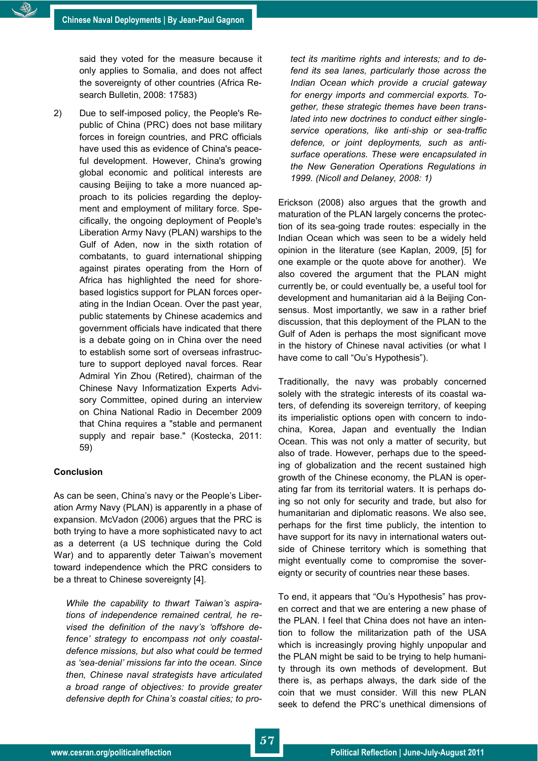said they voted for the measure because it only applies to Somalia, and does not affect the sovereignty of other countries (Africa Research Bulletin, 2008: 17583)

2) Due to self-imposed policy, the People's Republic of China (PRC) does not base military forces in foreign countries, and PRC officials have used this as evidence of China's peaceful development. However, China's growing global economic and political interests are causing Beijing to take a more nuanced approach to its policies regarding the deployment and employment of military force. Specifically, the ongoing deployment of People's Liberation Army Navy (PLAN) warships to the Gulf of Aden, now in the sixth rotation of combatants, to guard international shipping against pirates operating from the Horn of Africa has highlighted the need for shorebased logistics support for PLAN forces operating in the Indian Ocean. Over the past year, public statements by Chinese academics and government officials have indicated that there is a debate going on in China over the need to establish some sort of overseas infrastructure to support deployed naval forces. Rear Admiral Yin Zhou (Retired), chairman of the Chinese Navy Informatization Experts Advisory Committee, opined during an interview on China National Radio in December 2009 that China requires a "stable and permanent supply and repair base." (Kostecka, 2011: 59)

### **Conclusion**

As can be seen, China's navy or the People's Liberation Army Navy (PLAN) is apparently in a phase of expansion. McVadon (2006) argues that the PRC is both trying to have a more sophisticated navy to act as a deterrent (a US technique during the Cold War) and to apparently deter Taiwan's movement toward independence which the PRC considers to be a threat to Chinese sovereignty [4].

*While the capability to thwart Taiwan"s aspirations of independence remained central, he revised the definition of the navy"s "offshore defence" strategy to encompass not only coastaldefence missions, but also what could be termed as "sea-denial" missions far into the ocean. Since then, Chinese naval strategists have articulated a broad range of objectives: to provide greater defensive depth for China"s coastal cities; to pro-* *tect its maritime rights and interests; and to defend its sea lanes, particularly those across the Indian Ocean which provide a crucial gateway for energy imports and commercial exports. Together, these strategic themes have been translated into new doctrines to conduct either singleservice operations, like anti-ship or sea-traffic defence, or joint deployments, such as antisurface operations. These were encapsulated in the New Generation Operations Regulations in 1999. (Nicoll and Delaney, 2008: 1)*

Erickson (2008) also argues that the growth and maturation of the PLAN largely concerns the protection of its sea-going trade routes: especially in the Indian Ocean which was seen to be a widely held opinion in the literature (see Kaplan, 2009, [5] for one example or the quote above for another). We also covered the argument that the PLAN might currently be, or could eventually be, a useful tool for development and humanitarian aid à la Beijing Consensus. Most importantly, we saw in a rather brief discussion, that this deployment of the PLAN to the Gulf of Aden is perhaps the most significant move in the history of Chinese naval activities (or what I have come to call "Ou's Hypothesis").

Traditionally, the navy was probably concerned solely with the strategic interests of its coastal waters, of defending its sovereign territory, of keeping its imperialistic options open with concern to indochina, Korea, Japan and eventually the Indian Ocean. This was not only a matter of security, but also of trade. However, perhaps due to the speeding of globalization and the recent sustained high growth of the Chinese economy, the PLAN is operating far from its territorial waters. It is perhaps doing so not only for security and trade, but also for humanitarian and diplomatic reasons. We also see, perhaps for the first time publicly, the intention to have support for its navy in international waters outside of Chinese territory which is something that might eventually come to compromise the sovereignty or security of countries near these bases.

To end, it appears that "Ou"s Hypothesis" has proven correct and that we are entering a new phase of the PLAN. I feel that China does not have an intention to follow the militarization path of the USA which is increasingly proving highly unpopular and the PLAN might be said to be trying to help humanity through its own methods of development. But there is, as perhaps always, the dark side of the coin that we must consider. Will this new PLAN seek to defend the PRC"s unethical dimensions of